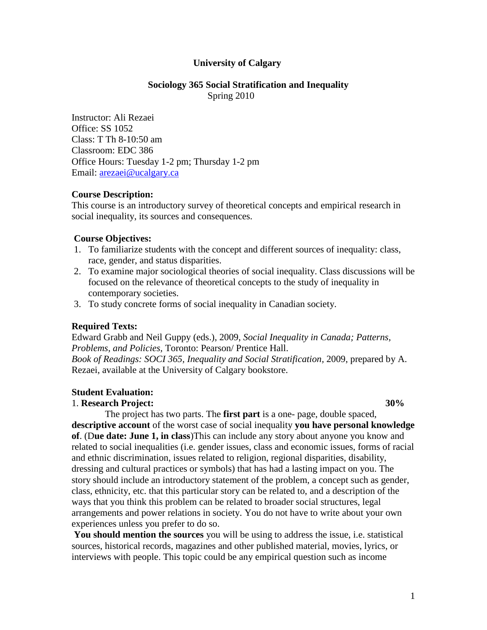## **University of Calgary**

### **Sociology 365 Social Stratification and Inequality** Spring 2010

Instructor: Ali Rezaei Office: SS 1052 Class: T Th 8-10:50 am Classroom: EDC 386 Office Hours: Tuesday 1-2 pm; Thursday 1-2 pm Email: [arezaei@ucalgary.ca](mailto:arezaei@ucalgary.ca)

## **Course Description:**

This course is an introductory survey of theoretical concepts and empirical research in social inequality, its sources and consequences.

#### **Course Objectives:**

- 1. To familiarize students with the concept and different sources of inequality: class, race, gender, and status disparities.
- 2. To examine major sociological theories of social inequality. Class discussions will be focused on the relevance of theoretical concepts to the study of inequality in contemporary societies.
- 3. To study concrete forms of social inequality in Canadian society.

## **Required Texts:**

Edward Grabb and Neil Guppy (eds.), 2009, *Social Inequality in Canada; Patterns, Problems, and Policies,* Toronto: Pearson/ Prentice Hall. *Book of Readings: SOCI 365, Inequality and Social Stratification,* 2009, prepared by A. Rezaei, available at the University of Calgary bookstore.

#### **Student Evaluation:**

## 1. **Research Project: 30%**

 The project has two parts. The **first part** is a one- page, double spaced, **descriptive account** of the worst case of social inequality **you have personal knowledge of**. (D**ue date: June 1, in class**)This can include any story about anyone you know and related to social inequalities (i.e. gender issues, class and economic issues, forms of racial and ethnic discrimination, issues related to religion, regional disparities, disability, dressing and cultural practices or symbols) that has had a lasting impact on you. The story should include an introductory statement of the problem, a concept such as gender, class, ethnicity, etc. that this particular story can be related to, and a description of the ways that you think this problem can be related to broader social structures, legal arrangements and power relations in society. You do not have to write about your own experiences unless you prefer to do so.

**You should mention the sources** you will be using to address the issue, i.e. statistical sources, historical records, magazines and other published material, movies, lyrics, or interviews with people. This topic could be any empirical question such as income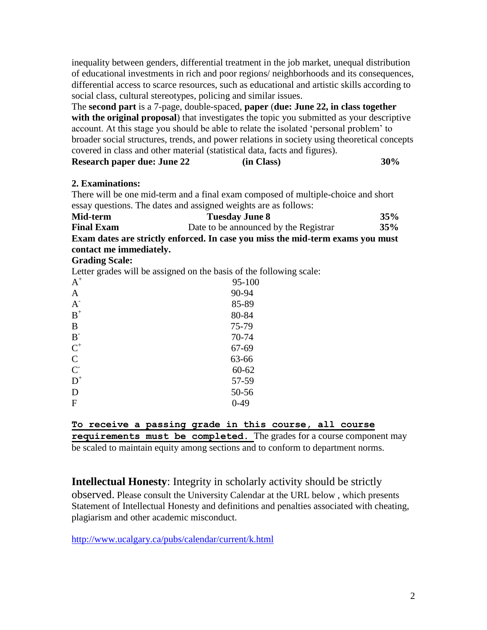inequality between genders, differential treatment in the job market, unequal distribution of educational investments in rich and poor regions/ neighborhoods and its consequences, differential access to scarce resources, such as educational and artistic skills according to social class, cultural stereotypes, policing and similar issues.

The **second part** is a 7-page, double-spaced, **paper** (**due: June 22, in class together with the original proposal**) that investigates the topic you submitted as your descriptive account. At this stage you should be able to relate the isolated "personal problem" to broader social structures, trends, and power relations in society using theoretical concepts covered in class and other material (statistical data, facts and figures).

| <b>Research paper due: June 22</b> | (in Class) | 30% |
|------------------------------------|------------|-----|

# **2. Examinations:**

There will be one mid-term and a final exam composed of multiple-choice and short essay questions. The dates and assigned weights are as follows:

| Mid-term                                                                      | <b>Tuesday June 8</b>                 | 35% |
|-------------------------------------------------------------------------------|---------------------------------------|-----|
| <b>Final Exam</b>                                                             | Date to be announced by the Registrar | 35% |
| Evan datas are strictly original In eaco vou miss the mid town exams you must |                                       |     |

**Exam dates are strictly enforced. In case you miss the mid-term exams you must contact me immediately.** 

## **Grading Scale:**

Letter grades will be assigned on the basis of the following scale:

| $A^+$            | 95-100    |
|------------------|-----------|
| $\mathbf{A}$     | 90-94     |
| $A^{\dagger}$    | 85-89     |
| $\mathbf{B}^+$   | 80-84     |
| B                | 75-79     |
| $B-$             | 70-74     |
| $C^+$            | 67-69     |
| $\mathbf C$      | 63-66     |
| $C^{\mathsf{I}}$ | $60 - 62$ |
| $D^+$            | 57-59     |
| D                | 50-56     |
| $\overline{F}$   | $0-49$    |
|                  |           |

**To receive a passing grade in this course, all course requirements must be completed.** The grades for a course component may be scaled to maintain equity among sections and to conform to department norms.

**Intellectual Honesty**: Integrity in scholarly activity should be strictly observed. Please consult the University Calendar at the URL below , which presents Statement of Intellectual Honesty and definitions and penalties associated with cheating, plagiarism and other academic misconduct.

<http://www.ucalgary.ca/pubs/calendar/current/k.html>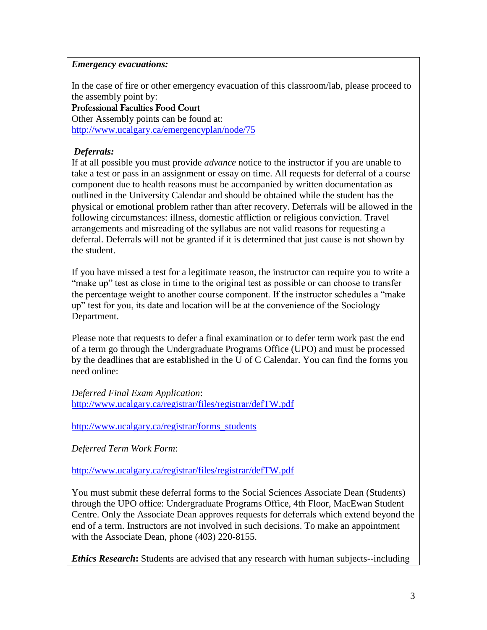## *Emergency evacuations:*

In the case of fire or other emergency evacuation of this classroom/lab, please proceed to the assembly point by:

Professional Faculties Food Court

Other Assembly points can be found at: <http://www.ucalgary.ca/emergencyplan/node/75>

# *Deferrals:*

If at all possible you must provide *advance* notice to the instructor if you are unable to take a test or pass in an assignment or essay on time. All requests for deferral of a course component due to health reasons must be accompanied by written documentation as outlined in the University Calendar and should be obtained while the student has the physical or emotional problem rather than after recovery. Deferrals will be allowed in the following circumstances: illness, domestic affliction or religious conviction. Travel arrangements and misreading of the syllabus are not valid reasons for requesting a deferral. Deferrals will not be granted if it is determined that just cause is not shown by the student.

If you have missed a test for a legitimate reason, the instructor can require you to write a "make up" test as close in time to the original test as possible or can choose to transfer the percentage weight to another course component. If the instructor schedules a "make up" test for you, its date and location will be at the convenience of the Sociology Department.

Please note that requests to defer a final examination or to defer term work past the end of a term go through the Undergraduate Programs Office (UPO) and must be processed by the deadlines that are established in the U of C Calendar. You can find the forms you need online:

*Deferred Final Exam Application*: <http://www.ucalgary.ca/registrar/files/registrar/defTW.pdf>

[http://www.ucalgary.ca/registrar/forms\\_students](http://www.ucalgary.ca/registrar/forms_students)

*Deferred Term Work Form*:

<http://www.ucalgary.ca/registrar/files/registrar/defTW.pdf>

You must submit these deferral forms to the Social Sciences Associate Dean (Students) through the UPO office: Undergraduate Programs Office, 4th Floor, MacEwan Student Centre. Only the Associate Dean approves requests for deferrals which extend beyond the end of a term. Instructors are not involved in such decisions. To make an appointment with the Associate Dean, phone (403) 220-8155.

*Ethics Research***:** Students are advised that any research with human subjects--including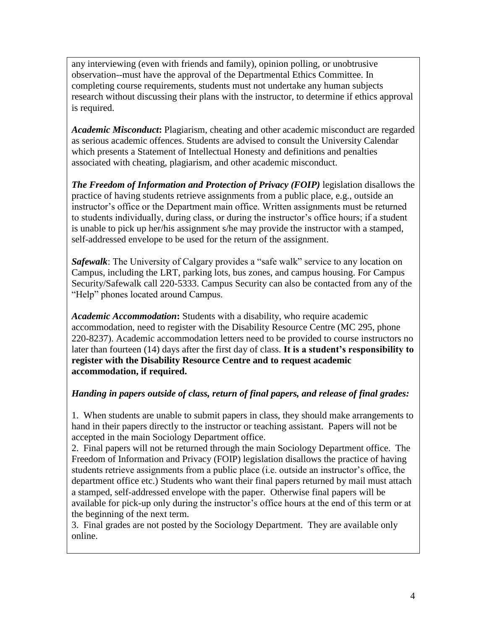any interviewing (even with friends and family), opinion polling, or unobtrusive observation--must have the approval of the Departmental Ethics Committee. In completing course requirements, students must not undertake any human subjects research without discussing their plans with the instructor, to determine if ethics approval is required.

*Academic Misconduct***:** Plagiarism, cheating and other academic misconduct are regarded as serious academic offences. Students are advised to consult the University Calendar which presents a Statement of Intellectual Honesty and definitions and penalties associated with cheating, plagiarism, and other academic misconduct.

*The Freedom of Information and Protection of Privacy (FOIP)* legislation disallows the practice of having students retrieve assignments from a public place, e.g., outside an instructor"s office or the Department main office. Written assignments must be returned to students individually, during class, or during the instructor"s office hours; if a student is unable to pick up her/his assignment s/he may provide the instructor with a stamped, self-addressed envelope to be used for the return of the assignment.

*Safewalk*: The University of Calgary provides a "safe walk" service to any location on Campus, including the LRT, parking lots, bus zones, and campus housing. For Campus Security/Safewalk call 220-5333. Campus Security can also be contacted from any of the "Help" phones located around Campus.

*Academic Accommodation***:** Students with a disability, who require academic accommodation, need to register with the Disability Resource Centre (MC 295, phone 220-8237). Academic accommodation letters need to be provided to course instructors no later than fourteen (14) days after the first day of class. **It is a student's responsibility to register with the Disability Resource Centre and to request academic accommodation, if required.** 

# *Handing in papers outside of class, return of final papers, and release of final grades:*

1. When students are unable to submit papers in class, they should make arrangements to hand in their papers directly to the instructor or teaching assistant. Papers will not be accepted in the main Sociology Department office.

2. Final papers will not be returned through the main Sociology Department office. The Freedom of Information and Privacy (FOIP) legislation disallows the practice of having students retrieve assignments from a public place (i.e. outside an instructor's office, the department office etc.) Students who want their final papers returned by mail must attach a stamped, self-addressed envelope with the paper. Otherwise final papers will be available for pick-up only during the instructor's office hours at the end of this term or at the beginning of the next term.

3. Final grades are not posted by the Sociology Department. They are available only online.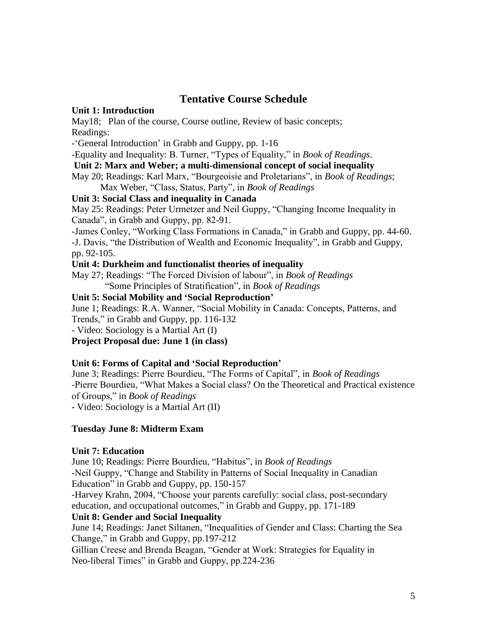# **Tentative Course Schedule**

## **Unit 1: Introduction**

May18; Plan of the course, Course outline, Review of basic concepts; Readings:

- 'General Introduction' in Grabb and Guppy, pp. 1-16

-Equality and Inequality: B. Turner, "Types of Equality," in *Book of Readings*.

**Unit 2: Marx and Weber; a multi-dimensional concept of social inequality**

May 20; Readings: Karl Marx, "Bourgeoisie and Proletarians", in *Book of Readings*; Max Weber, "Class, Status, Party", in *Book of Readings*

# **Unit 3: Social Class and inequality in Canada**

May 25: Readings: Peter Urmetzer and Neil Guppy, "Changing Income Inequality in Canada", in Grabb and Guppy, pp. 82-91.

-James Conley, "Working Class Formations in Canada," in Grabb and Guppy, pp. 44-60. -J. Davis, "the Distribution of Wealth and Economic Inequality", in Grabb and Guppy, pp. 92-105.

# **Unit 4: Durkheim and functionalist theories of inequality**

May 27; Readings: "The Forced Division of labour", in *Book of Readings* "Some Principles of Stratification", in *Book of Readings*

## **Unit 5: Social Mobility and 'Social Reproduction'**

June 1; Readings: R.A. Wanner, "Social Mobility in Canada: Concepts, Patterns, and Trends," in Grabb and Guppy, pp. 116-132

- Video: Sociology is a Martial Art (I)

**Project Proposal due: June 1 (in class)** 

# **Unit 6: Forms of Capital and 'Social Reproduction'**

June 3; Readings: Pierre Bourdieu, "The Forms of Capital", in *Book of Readings* -Pierre Bourdieu, "What Makes a Social class? On the Theoretical and Practical existence of Groups," in *Book of Readings*

- Video: Sociology is a Martial Art (II)

# **Tuesday June 8: Midterm Exam**

# **Unit 7: Education**

June 10; Readings: Pierre Bourdieu, "Habitus", in *Book of Readings* -Neil Guppy, "Change and Stability in Patterns of Social Inequality in Canadian Education" in Grabb and Guppy, pp. 150-157

-Harvey Krahn, 2004, "Choose your parents carefully: social class, post-secondary education, and occupational outcomes," in Grabb and Guppy, pp. 171-189

# **Unit 8: Gender and Social Inequality**

June 14; Readings: Janet Siltanen, "Inequalities of Gender and Class: Charting the Sea Change," in Grabb and Guppy, pp.197-212

Gillian Creese and Brenda Beagan, "Gender at Work: Strategies for Equality in Neo-liberal Times" in Grabb and Guppy, pp.224-236